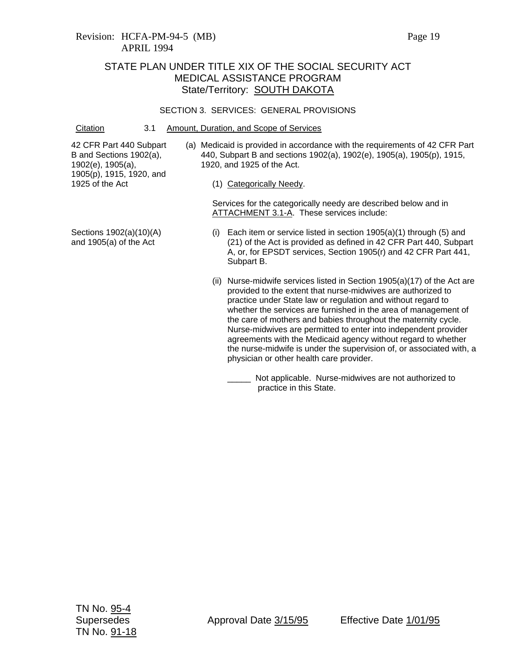#### SECTION 3. SERVICES: GENERAL PROVISIONS

Citation 3.1 Amount, Duration, and Scope of Services

42 CFR Part 440 Subpart B and Sections 1902(a), 1902(e), 1905(a), 1905(p), 1915, 1920, and 1925 of the Act

- (a) Medicaid is provided in accordance with the requirements of 42 CFR Part 440, Subpart B and sections 1902(a), 1902(e), 1905(a), 1905(p), 1915, 1920, and 1925 of the Act.
	- (1) Categorically Needy.

Services for the categorically needy are described below and in ATTACHMENT 3.1-A. These services include:

- Sections 1902(a)(10)(A) and 1905(a) of the Act
- (i) Each item or service listed in section 1905(a)(1) through (5) and (21) of the Act is provided as defined in 42 CFR Part 440, Subpart A, or, for EPSDT services, Section 1905(r) and 42 CFR Part 441, Subpart B.
- (ii) Nurse-midwife services listed in Section 1905(a)(17) of the Act are provided to the extent that nurse-midwives are authorized to practice under State law or regulation and without regard to whether the services are furnished in the area of management of the care of mothers and babies throughout the maternity cycle. Nurse-midwives are permitted to enter into independent provider agreements with the Medicaid agency without regard to whether the nurse-midwife is under the supervision of, or associated with, a physician or other health care provider.
	- Not applicable. Nurse-midwives are not authorized to practice in this State.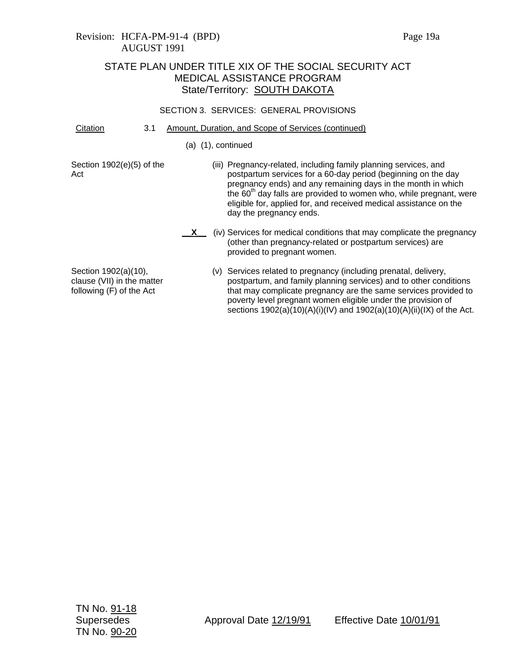## Revision: HCFA-PM-91-4 (BPD) Page 19a AUGUST 1991

## STATE PLAN UNDER TITLE XIX OF THE SOCIAL SECURITY ACT MEDICAL ASSISTANCE PROGRAM State/Territory: **SOUTH DAKOTA**

### SECTION 3. SERVICES: GENERAL PROVISIONS

- Citation 3.1 Amount, Duration, and Scope of Services (continued)
	- (a) (1), continued

Section 1902(e)(5) of the Act

- (iii) Pregnancy-related, including family planning services, and postpartum services for a 60-day period (beginning on the day pregnancy ends) and any remaining days in the month in which the  $60<sup>th</sup>$  day falls are provided to women who, while pregnant, were eligible for, applied for, and received medical assistance on the day the pregnancy ends.
- **X** (iv) Services for medical conditions that may complicate the pregnancy (other than pregnancy-related or postpartum services) are provided to pregnant women.

Section 1902(a)(10), clause (VII) in the matter following (F) of the Act

(v) Services related to pregnancy (including prenatal, delivery, postpartum, and family planning services) and to other conditions that may complicate pregnancy are the same services provided to poverty level pregnant women eligible under the provision of sections 1902(a)(10)(A)(i)(IV) and 1902(a)(10)(A)(ii)(IX) of the Act.

TN No. 91-18 TN No. 90-20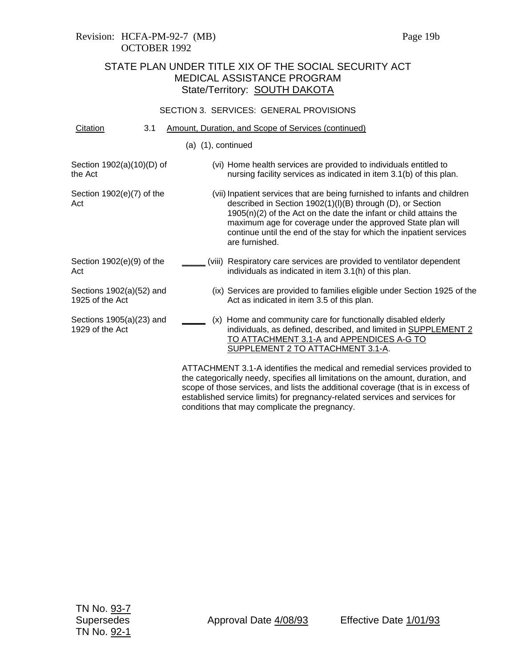#### SECTION 3. SERVICES: GENERAL PROVISIONS

| Citation                                    | 3.1 |  | Amount, Duration, and Scope of Services (continued)                                                                                                                                                                                                                                                                                                                    |
|---------------------------------------------|-----|--|------------------------------------------------------------------------------------------------------------------------------------------------------------------------------------------------------------------------------------------------------------------------------------------------------------------------------------------------------------------------|
|                                             |     |  | $(a)$ $(1)$ , continued                                                                                                                                                                                                                                                                                                                                                |
| Section 1902(a)(10)(D) of<br>the Act        |     |  | (vi) Home health services are provided to individuals entitled to<br>nursing facility services as indicated in item 3.1(b) of this plan.                                                                                                                                                                                                                               |
| Section 1902(e)(7) of the<br>Act            |     |  | (vii) Inpatient services that are being furnished to infants and children<br>described in Section 1902(1)(I)(B) through (D), or Section<br>$1905(n)(2)$ of the Act on the date the infant or child attains the<br>maximum age for coverage under the approved State plan will<br>continue until the end of the stay for which the inpatient services<br>are furnished. |
| Section 1902(e)(9) of the<br>Act            |     |  | (viii) Respiratory care services are provided to ventilator dependent<br>individuals as indicated in item 3.1(h) of this plan.                                                                                                                                                                                                                                         |
| Sections 1902(a)(52) and<br>1925 of the Act |     |  | (ix) Services are provided to families eligible under Section 1925 of the<br>Act as indicated in item 3.5 of this plan.                                                                                                                                                                                                                                                |
| Sections 1905(a)(23) and<br>1929 of the Act |     |  | (x) Home and community care for functionally disabled elderly<br>individuals, as defined, described, and limited in SUPPLEMENT 2<br>TO ATTACHMENT 3.1-A and APPENDICES A-G TO<br>SUPPLEMENT 2 TO ATTACHMENT 3.1-A.                                                                                                                                                     |
|                                             |     |  | ATTACHMENT 3.1-A identifies the medical and remedial services provided to<br>والمتماثلة ومستناه التقسيم ومستنقصا والقامس والمتعاطف والمتناقص والمتعارض والمتماس والمتعاطفات                                                                                                                                                                                            |

the categorically needy, specifies all limitations on the amount, duration, and scope of those services, and lists the additional coverage (that is in excess of established service limits) for pregnancy-related services and services for conditions that may complicate the pregnancy.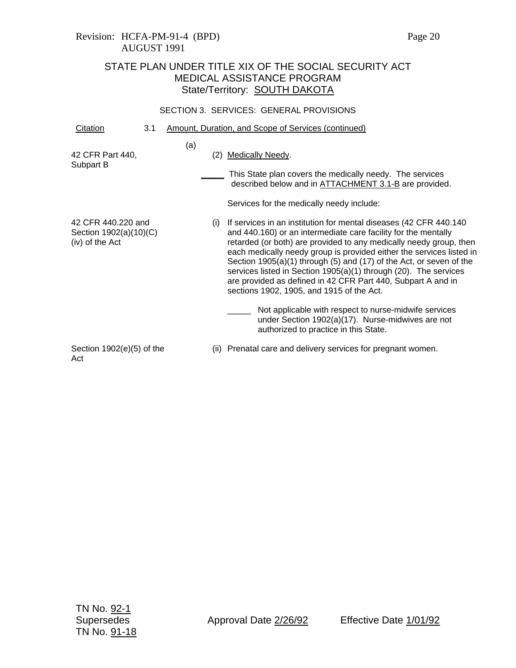## Revision: HCFA-PM-91-4 (BPD) Page 20 AUGUST 1991

# STATE PLAN UNDER TITLE XIX OF THE SOCIAL SECURITY ACT MEDICAL ASSISTANCE PROGRAM State/Territory: SOUTH DAKOTA

### SECTION 3. SERVICES: GENERAL PROVISIONS

| Citation                                                        | 3.1 |     |     | Amount, Duration, and Scope of Services (continued)                                                                                                                                                                                                                                                                                                                                                                                                                                                                                          |
|-----------------------------------------------------------------|-----|-----|-----|----------------------------------------------------------------------------------------------------------------------------------------------------------------------------------------------------------------------------------------------------------------------------------------------------------------------------------------------------------------------------------------------------------------------------------------------------------------------------------------------------------------------------------------------|
| 42 CFR Part 440,<br>Subpart B                                   |     | (a) | (2) | Medically Needy.<br>This State plan covers the medically needy. The services<br>described below and in <b>ATTACHMENT 3.1-B</b> are provided.<br>Services for the medically needy include:                                                                                                                                                                                                                                                                                                                                                    |
| 42 CFR 440.220 and<br>Section 1902(a)(10)(C)<br>(iv) of the Act |     | (i) |     | If services in an institution for mental diseases (42 CFR 440.140)<br>and 440.160) or an intermediate care facility for the mentally<br>retarded (or both) are provided to any medically needy group, then<br>each medically needy group is provided either the services listed in<br>Section $1905(a)(1)$ through (5) and (17) of the Act, or seven of the<br>services listed in Section 1905(a)(1) through (20). The services<br>are provided as defined in 42 CFR Part 440, Subpart A and in<br>sections 1902, 1905, and 1915 of the Act. |
|                                                                 |     |     |     | Not applicable with respect to nurse-midwife services<br>under Section 1902(a)(17). Nurse-midwives are not<br>authorized to practice in this State.                                                                                                                                                                                                                                                                                                                                                                                          |
| Section $1902(e)(5)$ of the<br>Act                              |     |     |     | (ii) Prenatal care and delivery services for pregnant women.                                                                                                                                                                                                                                                                                                                                                                                                                                                                                 |

Supersedes **Approval Date 2/26/92** Effective Date 1/01/92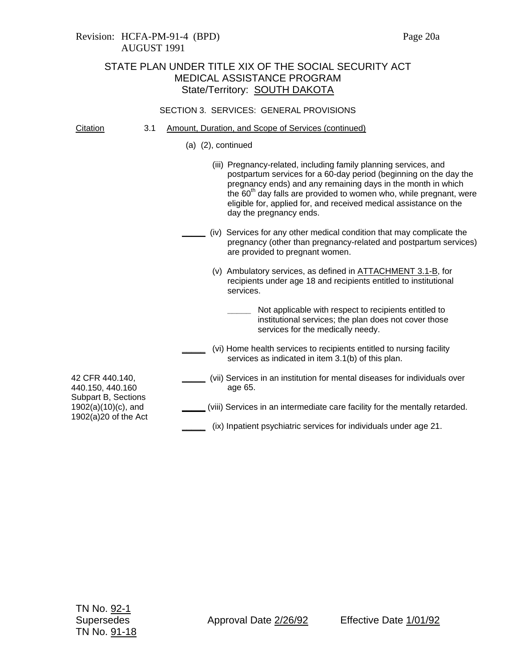## Revision: HCFA-PM-91-4 (BPD) Page 20a AUGUST 1991

# STATE PLAN UNDER TITLE XIX OF THE SOCIAL SECURITY ACT MEDICAL ASSISTANCE PROGRAM State/Territory: **SOUTH DAKOTA**

### SECTION 3. SERVICES: GENERAL PROVISIONS

| Citation |  |  | Amount, Duration, and Scope of Services (continued) |  |
|----------|--|--|-----------------------------------------------------|--|
|          |  |  |                                                     |  |

(a) (2), continued

|                                                                                                              | (iii) Pregnancy-related, including family planning services, and<br>postpartum services for a 60-day period (beginning on the day the<br>pregnancy ends) and any remaining days in the month in which<br>the 60 <sup>th</sup> day falls are provided to women who, while pregnant, were<br>eligible for, applied for, and received medical assistance on the<br>day the pregnancy ends. |
|--------------------------------------------------------------------------------------------------------------|-----------------------------------------------------------------------------------------------------------------------------------------------------------------------------------------------------------------------------------------------------------------------------------------------------------------------------------------------------------------------------------------|
|                                                                                                              | (iv) Services for any other medical condition that may complicate the<br>pregnancy (other than pregnancy-related and postpartum services)<br>are provided to pregnant women.                                                                                                                                                                                                            |
|                                                                                                              | (v) Ambulatory services, as defined in ATTACHMENT 3.1-B, for<br>recipients under age 18 and recipients entitled to institutional<br>services.                                                                                                                                                                                                                                           |
|                                                                                                              | Not applicable with respect to recipients entitled to<br>institutional services; the plan does not cover those<br>services for the medically needy.                                                                                                                                                                                                                                     |
|                                                                                                              | (vi) Home health services to recipients entitled to nursing facility<br>services as indicated in item 3.1(b) of this plan.                                                                                                                                                                                                                                                              |
| 42 CFR 440.140,<br>440.150, 440.160<br>Subpart B, Sections<br>$1902(a)(10)(c)$ , and<br>1902(a)20 of the Act | (vii) Services in an institution for mental diseases for individuals over<br>age 65.                                                                                                                                                                                                                                                                                                    |
|                                                                                                              | (viii) Services in an intermediate care facility for the mentally retarded.                                                                                                                                                                                                                                                                                                             |
|                                                                                                              | (ix) Inpatient psychiatric services for individuals under age 21.                                                                                                                                                                                                                                                                                                                       |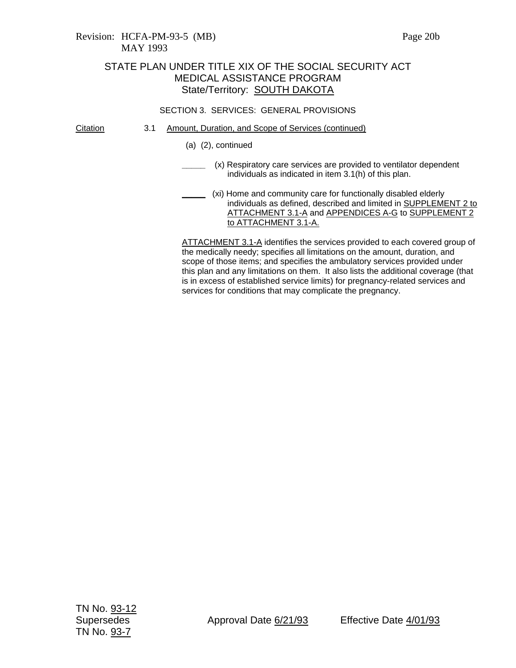### Revision: HCFA-PM-93-5 (MB) Page 20b MAY 1993

## STATE PLAN UNDER TITLE XIX OF THE SOCIAL SECURITY ACT MEDICAL ASSISTANCE PROGRAM State/Territory: **SOUTH DAKOTA**

### SECTION 3. SERVICES: GENERAL PROVISIONS

- Citation 3.1 Amount, Duration, and Scope of Services (continued)
	- (a) (2), continued
	- **\_\_\_\_\_** (x) Respiratory care services are provided to ventilator dependent individuals as indicated in item 3.1(h) of this plan.
	- **\_\_\_\_\_** (xi) Home and community care for functionally disabled elderly individuals as defined, described and limited in **SUPPLEMENT 2 to** ATTACHMENT 3.1-A and APPENDICES A-G to SUPPLEMENT 2 to ATTACHMENT 3.1-A.

ATTACHMENT 3.1-A identifies the services provided to each covered group of the medically needy; specifies all limitations on the amount, duration, and scope of those items; and specifies the ambulatory services provided under this plan and any limitations on them. It also lists the additional coverage (that is in excess of established service limits) for pregnancy-related services and services for conditions that may complicate the pregnancy.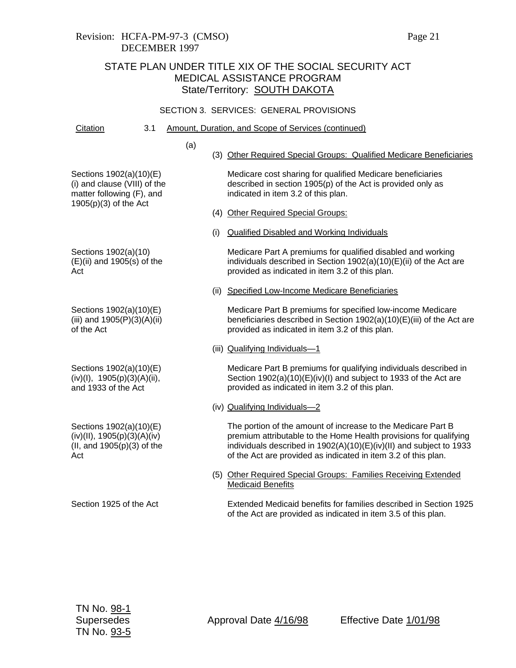### SECTION 3. SERVICES: GENERAL PROVISIONS

Citation 3.1 Amount, Duration, and Scope of Services (continued)

- (a)
- (3) Other Required Special Groups: Qualified Medicare Beneficiaries

Sections 1902(a)(10)(E) (i) and clause (VIII) of the matter following (F), and 1905(p)(3) of the Act

Sections 1902(a)(10)  $(E)(ii)$  and 1905(s) of the Act

Sections 1902(a)(10)(E) (iii) and 1905(P)(3)(A)(ii) of the Act

Sections 1902(a)(10)(E)  $(iv)(I), 1905(p)(3)(A)(ii),$ and 1933 of the Act

Sections 1902(a)(10)(E)  $(iv)(II), 1905(p)(3)(A)(iv)$ (II, and 1905(p)(3) of the Act

Section 1925 of the Act

Medicare cost sharing for qualified Medicare beneficiaries described in section 1905(p) of the Act is provided only as indicated in item 3.2 of this plan.

- (4) Other Required Special Groups:
- (i) Qualified Disabled and Working Individuals

Medicare Part A premiums for qualified disabled and working individuals described in Section 1902(a)(10)(E)(ii) of the Act are provided as indicated in item 3.2 of this plan.

(ii) Specified Low-Income Medicare Beneficiaries

Medicare Part B premiums for specified low-income Medicare beneficiaries described in Section 1902(a)(10)(E)(iii) of the Act are provided as indicated in item 3.2 of this plan.

(iii) Qualifying Individuals—1

Medicare Part B premiums for qualifying individuals described in Section 1902(a)(10)(E)(iv)(I) and subject to 1933 of the Act are provided as indicated in item 3.2 of this plan.

(iv) Qualifying Individuals—2

The portion of the amount of increase to the Medicare Part B premium attributable to the Home Health provisions for qualifying individuals described in 1902(A)(10)(E)(iv)(II) and subject to 1933 of the Act are provided as indicated in item 3.2 of this plan.

(5) Other Required Special Groups: Families Receiving Extended Medicaid Benefits

Extended Medicaid benefits for families described in Section 1925 of the Act are provided as indicated in item 3.5 of this plan.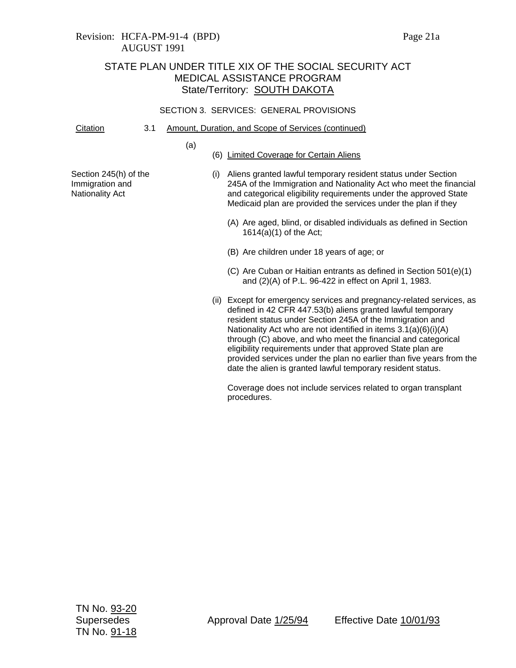#### SECTION 3. SERVICES: GENERAL PROVISIONS

Citation 3.1 Amount, Duration, and Scope of Services (continued)

(a)

(6) Limited Coverage for Certain Aliens

Section 245(h) of the Immigration and Nationality Act

- (i) Aliens granted lawful temporary resident status under Section 245A of the Immigration and Nationality Act who meet the financial and categorical eligibility requirements under the approved State Medicaid plan are provided the services under the plan if they
	- (A) Are aged, blind, or disabled individuals as defined in Section 1614(a)(1) of the Act;
	- (B) Are children under 18 years of age; or
	- (C) Are Cuban or Haitian entrants as defined in Section 501(e)(1) and (2)(A) of P.L. 96-422 in effect on April 1, 1983.
- (ii) Except for emergency services and pregnancy-related services, as defined in 42 CFR 447.53(b) aliens granted lawful temporary resident status under Section 245A of the Immigration and Nationality Act who are not identified in items 3.1(a)(6)(i)(A) through (C) above, and who meet the financial and categorical eligibility requirements under that approved State plan are provided services under the plan no earlier than five years from the date the alien is granted lawful temporary resident status.

Coverage does not include services related to organ transplant procedures.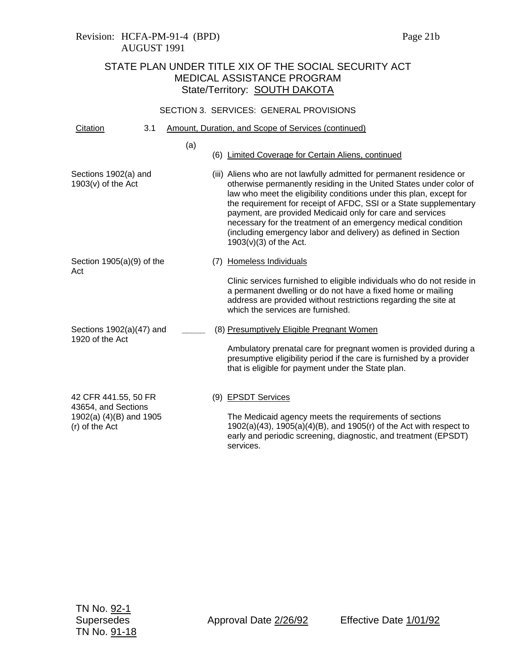| Citation                                                         | 3.1 |     |     | Amount, Duration, and Scope of Services (continued)                                                                                                                                                                                                                                                                                                                                                                                                                                                                 |
|------------------------------------------------------------------|-----|-----|-----|---------------------------------------------------------------------------------------------------------------------------------------------------------------------------------------------------------------------------------------------------------------------------------------------------------------------------------------------------------------------------------------------------------------------------------------------------------------------------------------------------------------------|
|                                                                  |     | (a) |     | (6) Limited Coverage for Certain Aliens, continued                                                                                                                                                                                                                                                                                                                                                                                                                                                                  |
| Sections 1902(a) and<br>$1903(v)$ of the Act                     |     |     |     | (iii) Aliens who are not lawfully admitted for permanent residence or<br>otherwise permanently residing in the United States under color of<br>law who meet the eligibility conditions under this plan, except for<br>the requirement for receipt of AFDC, SSI or a State supplementary<br>payment, are provided Medicaid only for care and services<br>necessary for the treatment of an emergency medical condition<br>(including emergency labor and delivery) as defined in Section<br>$1903(v)(3)$ of the Act. |
| Section $1905(a)(9)$ of the<br>Act                               |     |     | (7) | Homeless Individuals                                                                                                                                                                                                                                                                                                                                                                                                                                                                                                |
|                                                                  |     |     |     | Clinic services furnished to eligible individuals who do not reside in<br>a permanent dwelling or do not have a fixed home or mailing<br>address are provided without restrictions regarding the site at<br>which the services are furnished.                                                                                                                                                                                                                                                                       |
| Sections 1902(a)(47) and<br>1920 of the Act                      |     |     |     | (8) Presumptively Eligible Pregnant Women                                                                                                                                                                                                                                                                                                                                                                                                                                                                           |
|                                                                  |     |     |     | Ambulatory prenatal care for pregnant women is provided during a<br>presumptive eligibility period if the care is furnished by a provider<br>that is eligible for payment under the State plan.                                                                                                                                                                                                                                                                                                                     |
| 42 CFR 441.55, 50 FR                                             |     |     |     | (9) EPSDT Services                                                                                                                                                                                                                                                                                                                                                                                                                                                                                                  |
| 43654, and Sections<br>1902(a) (4)(B) and 1905<br>(r) of the Act |     |     |     | The Medicaid agency meets the requirements of sections<br>$1902(a)(43)$ , $1905(a)(4)(B)$ , and $1905(r)$ of the Act with respect to<br>early and periodic screening, diagnostic, and treatment (EPSDT)<br>services.                                                                                                                                                                                                                                                                                                |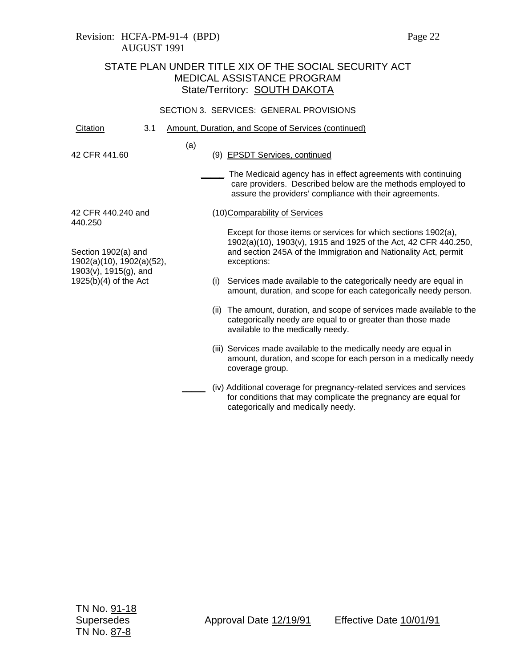## Revision: HCFA-PM-91-4 (BPD) Page 22 AUGUST 1991

# STATE PLAN UNDER TITLE XIX OF THE SOCIAL SECURITY ACT MEDICAL ASSISTANCE PROGRAM State/Territory: **SOUTH DAKOTA**

| Citation                                                                                             | 3.1 |     |                                                                                                                                                                                                                     | Amount, Duration, and Scope of Services (continued)                                                                                                                                    |
|------------------------------------------------------------------------------------------------------|-----|-----|---------------------------------------------------------------------------------------------------------------------------------------------------------------------------------------------------------------------|----------------------------------------------------------------------------------------------------------------------------------------------------------------------------------------|
| 42 CFR 441.60                                                                                        |     | (a) |                                                                                                                                                                                                                     | (9) EPSDT Services, continued                                                                                                                                                          |
|                                                                                                      |     |     |                                                                                                                                                                                                                     | The Medicaid agency has in effect agreements with continuing<br>care providers. Described below are the methods employed to<br>assure the providers' compliance with their agreements. |
| 42 CFR 440.240 and<br>440.250                                                                        |     |     |                                                                                                                                                                                                                     | (10) Comparability of Services                                                                                                                                                         |
| Section 1902(a) and<br>1902(a)(10), 1902(a)(52),<br>1903(v), 1915(g), and<br>$1925(b)(4)$ of the Act |     |     | Except for those items or services for which sections 1902(a),<br>1902(a)(10), 1903(v), 1915 and 1925 of the Act, 42 CFR 440.250,<br>and section 245A of the Immigration and Nationality Act, permit<br>exceptions: |                                                                                                                                                                                        |
|                                                                                                      |     |     | (i)                                                                                                                                                                                                                 | Services made available to the categorically needy are equal in<br>amount, duration, and scope for each categorically needy person.                                                    |
|                                                                                                      |     |     | (ii)                                                                                                                                                                                                                | The amount, duration, and scope of services made available to the<br>categorically needy are equal to or greater than those made<br>available to the medically needy.                  |
|                                                                                                      |     |     |                                                                                                                                                                                                                     | (iii) Services made available to the medically needy are equal in<br>amount, duration, and scope for each person in a medically needy<br>coverage group.                               |
|                                                                                                      |     |     |                                                                                                                                                                                                                     | (iv) Additional coverage for pregnancy-related services and services<br>for conditions that may complicate the pregnancy are equal for<br>categorically and medically needy.           |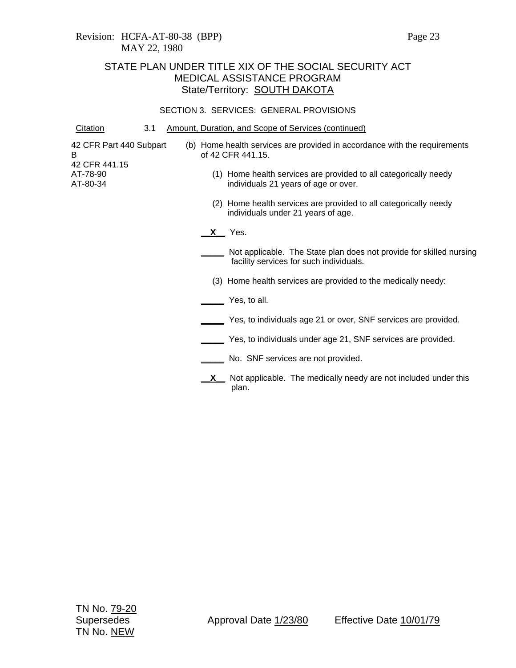| Citation                                      | 3.1 |    | Amount, Duration, and Scope of Services (continued)                                                            |
|-----------------------------------------------|-----|----|----------------------------------------------------------------------------------------------------------------|
| 42 CFR Part 440 Subpart<br>в<br>42 CFR 441.15 |     |    | (b) Home health services are provided in accordance with the requirements<br>of 42 CFR 441.15.                 |
| AT-78-90<br>AT-80-34                          |     |    | (1) Home health services are provided to all categorically needy<br>individuals 21 years of age or over.       |
|                                               |     |    | (2) Home health services are provided to all categorically needy<br>individuals under 21 years of age.         |
|                                               |     |    | <b>X___</b> Yes.                                                                                               |
|                                               |     |    | Not applicable. The State plan does not provide for skilled nursing<br>facility services for such individuals. |
|                                               |     |    | (3) Home health services are provided to the medically needy:                                                  |
|                                               |     |    | Yes, to all.                                                                                                   |
|                                               |     |    | Yes, to individuals age 21 or over, SNF services are provided.                                                 |
|                                               |     |    | Yes, to individuals under age 21, SNF services are provided.                                                   |
|                                               |     |    | No. SNF services are not provided.                                                                             |
|                                               |     | X. | Not applicable. The medically needy are not included under this<br>plan.                                       |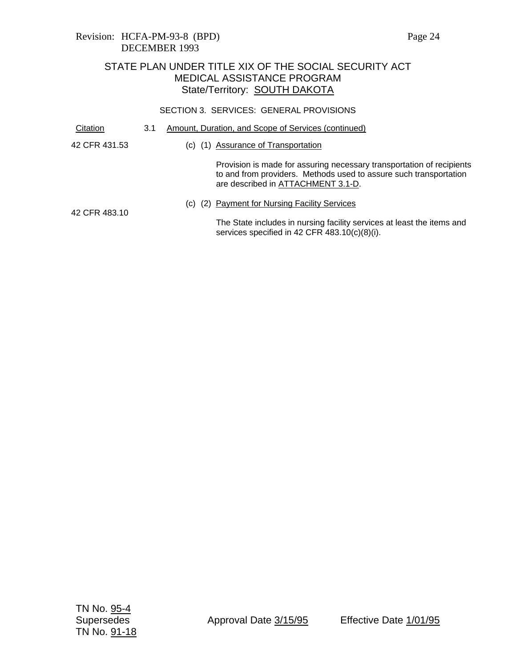| Citation      | 3.1 |                                                                                                                         | Amount, Duration, and Scope of Services (continued)                                                                                                                              |
|---------------|-----|-------------------------------------------------------------------------------------------------------------------------|----------------------------------------------------------------------------------------------------------------------------------------------------------------------------------|
| 42 CFR 431.53 |     | (C)<br>(1)                                                                                                              | Assurance of Transportation                                                                                                                                                      |
|               |     |                                                                                                                         | Provision is made for assuring necessary transportation of recipients<br>to and from providers. Methods used to assure such transportation<br>are described in ATTACHMENT 3.1-D. |
| 42 CFR 483.10 |     | (C)                                                                                                                     | (2) Payment for Nursing Facility Services                                                                                                                                        |
|               |     | The State includes in nursing facility services at least the items and<br>services specified in 42 CFR 483.10(c)(8)(i). |                                                                                                                                                                                  |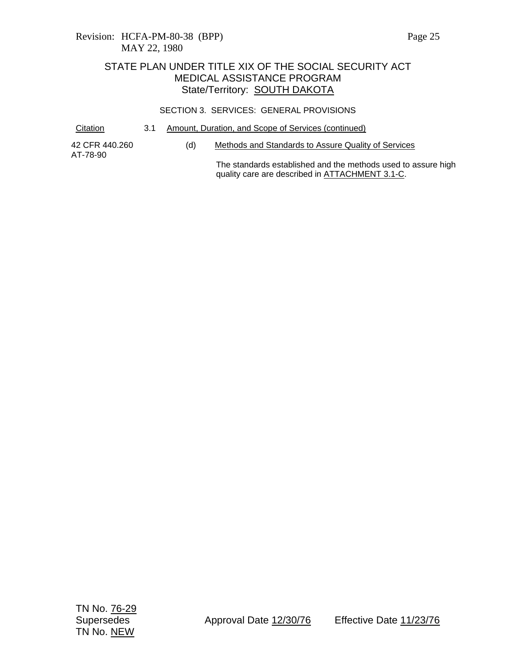#### SECTION 3. SERVICES: GENERAL PROVISIONS

Citation 3.1 Amount, Duration, and Scope of Services (continued)

42 CFR 440.260 AT-78-90

(d) Methods and Standards to Assure Quality of Services

The standards established and the methods used to assure high quality care are described in ATTACHMENT 3.1-C.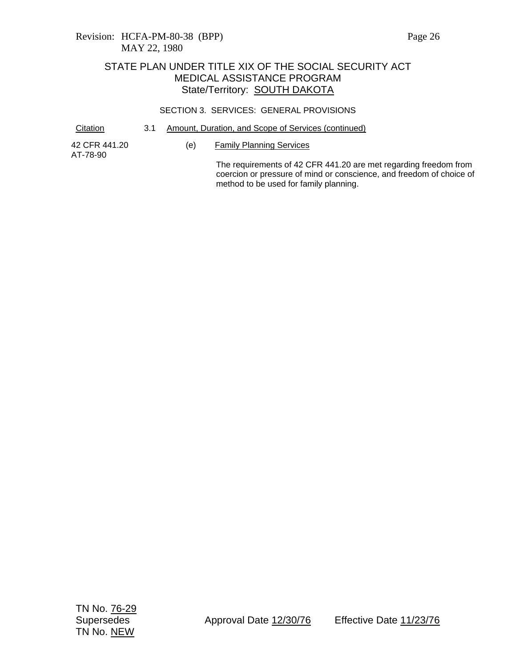### SECTION 3. SERVICES: GENERAL PROVISIONS

Citation 3.1 Amount, Duration, and Scope of Services (continued)

42 CFR 441.20 AT-78-90

(e) Family Planning Services

The requirements of 42 CFR 441.20 are met regarding freedom from coercion or pressure of mind or conscience, and freedom of choice of method to be used for family planning.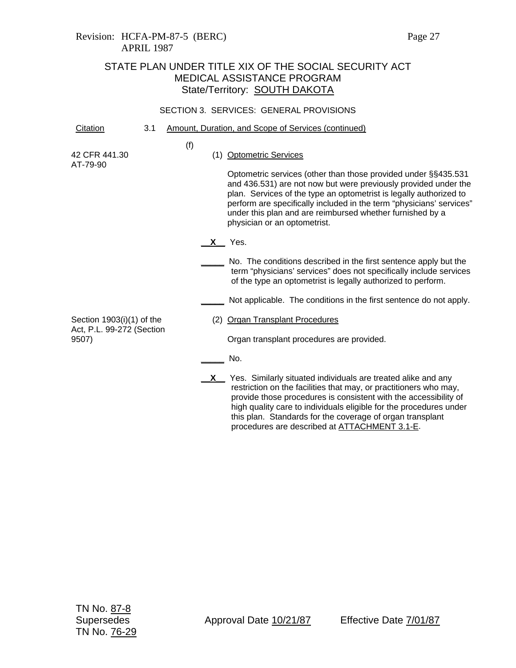### SECTION 3. SERVICES: GENERAL PROVISIONS

| Citation                                                          | 3.1 |     | Amount, Duration, and Scope of Services (continued)                                                                                                                                                                                                                                                                                                                                                     |
|-------------------------------------------------------------------|-----|-----|---------------------------------------------------------------------------------------------------------------------------------------------------------------------------------------------------------------------------------------------------------------------------------------------------------------------------------------------------------------------------------------------------------|
| 42 CFR 441.30<br>AT-79-90                                         |     | (f) | (1) Optometric Services<br>Optometric services (other than those provided under §§435.531<br>and 436.531) are not now but were previously provided under the<br>plan. Services of the type an optometrist is legally authorized to<br>perform are specifically included in the term "physicians' services"<br>under this plan and are reimbursed whether furnished by a<br>physician or an optometrist. |
|                                                                   |     |     | X Yes.<br>No. The conditions described in the first sentence apply but the<br>term "physicians' services" does not specifically include services<br>of the type an optometrist is legally authorized to perform.                                                                                                                                                                                        |
| Section $1903(i)(1)$ of the<br>Act, P.L. 99-272 (Section<br>9507) |     |     | Not applicable. The conditions in the first sentence do not apply.<br>(2) Organ Transplant Procedures<br>Organ transplant procedures are provided.                                                                                                                                                                                                                                                      |
|                                                                   |     |     | No.<br>$X$ Yes. Similarly situated individuals are treated alike and any<br>restriction on the facilities that may, or practitioners who may,<br>provide those procedures is consistent with the accessibility of<br>high quality care to individuals eligible for the procedures under                                                                                                                 |

this plan. Standards for the coverage of organ transplant procedures are described at ATTACHMENT 3.1-E.